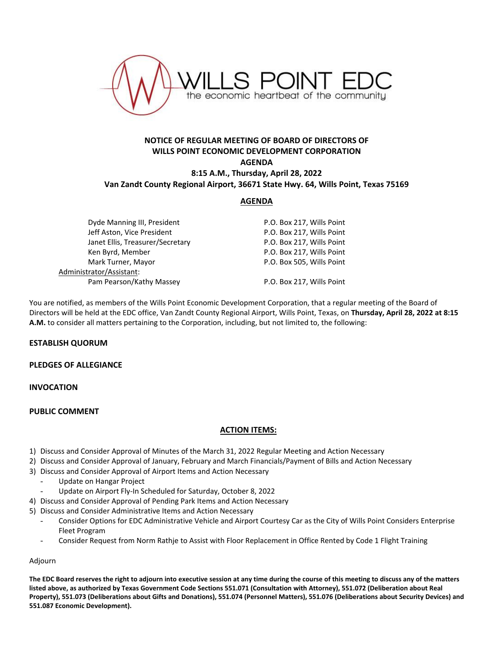

# **NOTICE OF REGULAR MEETING OF BOARD OF DIRECTORS OF WILLS POINT ECONOMIC DEVELOPMENT CORPORATION AGENDA 8:15 A.M., Thursday, April 28, 2022 Van Zandt County Regional Airport, 36671 State Hwy. 64, Wills Point, Texas 75169**

### **AGENDA**

| Dyde Manning III, President      | P.O. Box 217, Wills Point |
|----------------------------------|---------------------------|
| Jeff Aston, Vice President       | P.O. Box 217, Wills Point |
| Janet Ellis, Treasurer/Secretary | P.O. Box 217, Wills Point |
| Ken Byrd, Member                 | P.O. Box 217, Wills Point |
| Mark Turner, Mayor               | P.O. Box 505, Wills Point |
| Administrator/Assistant:         |                           |
| Pam Pearson/Kathy Massey         | P.O. Box 217, Wills Point |

You are notified, as members of the Wills Point Economic Development Corporation, that a regular meeting of the Board of Directors will be held at the EDC office, Van Zandt County Regional Airport, Wills Point, Texas, on **Thursday, April 28, 2022 at 8:15 A.M.** to consider all matters pertaining to the Corporation, including, but not limited to, the following:

## **ESTABLISH QUORUM**

#### **PLEDGES OF ALLEGIANCE**

#### **INVOCATION**

#### **PUBLIC COMMENT**

#### **ACTION ITEMS:**

- 1) Discuss and Consider Approval of Minutes of the March 31, 2022 Regular Meeting and Action Necessary
- 2) Discuss and Consider Approval of January, February and March Financials/Payment of Bills and Action Necessary
- 3) Discuss and Consider Approval of Airport Items and Action Necessary
	- Update on Hangar Project
	- Update on Airport Fly-In Scheduled for Saturday, October 8, 2022
- 4) Discuss and Consider Approval of Pending Park Items and Action Necessary
- 5) Discuss and Consider Administrative Items and Action Necessary
	- Consider Options for EDC Administrative Vehicle and Airport Courtesy Car as the City of Wills Point Considers Enterprise Fleet Program
	- Consider Request from Norm Rathje to Assist with Floor Replacement in Office Rented by Code 1 Flight Training

## Adjourn

**The EDC Board reserves the right to adjourn into executive session at any time during the course of this meeting to discuss any of the matters listed above, as authorized by Texas Government Code Sections 551.071 (Consultation with Attorney), 551.072 (Deliberation about Real Property), 551.073 (Deliberations about Gifts and Donations), 551.074 (Personnel Matters), 551.076 (Deliberations about Security Devices) and 551.087 Economic Development).**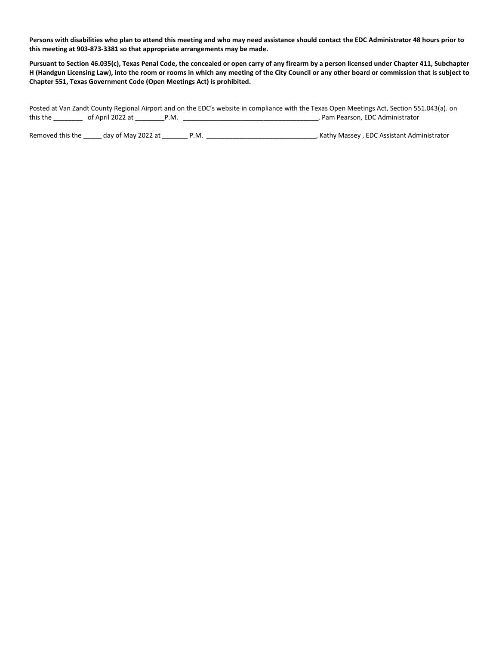**Persons with disabilities who plan to attend this meeting and who may need assistance should contact the EDC Administrator 48 hours prior to this meeting at 903-873-3381 so that appropriate arrangements may be made.**

**Pursuant to Section 46.035(c), Texas Penal Code, the concealed or open carry of any firearm by a person licensed under Chapter 411, Subchapter H (Handgun Licensing Law), into the room or rooms in which any meeting of the City Council or any other board or commission that is subject to Chapter 551, Texas Government Code (Open Meetings Act) is prohibited.** 

Posted at Van Zandt County Regional Airport and on the EDC's website in compliance with the Texas Open Meetings Act, Section 551.043(a). on this the \_\_\_\_\_\_\_\_ of April 2022 at \_\_\_\_\_\_\_\_P.M. \_\_\_\_\_\_\_\_\_\_\_\_\_\_\_\_\_\_\_\_\_\_\_\_\_\_\_\_\_\_\_\_\_\_\_\_\_, Pam Pearson, EDC Administrator

Removed this the \_\_\_\_\_ day of May 2022 at \_\_\_\_\_\_\_ P.M. \_\_\_\_\_\_\_\_\_\_\_\_\_\_\_\_\_\_\_\_\_\_\_\_\_\_\_\_\_\_, Kathy Massey , EDC Assistant Administrator